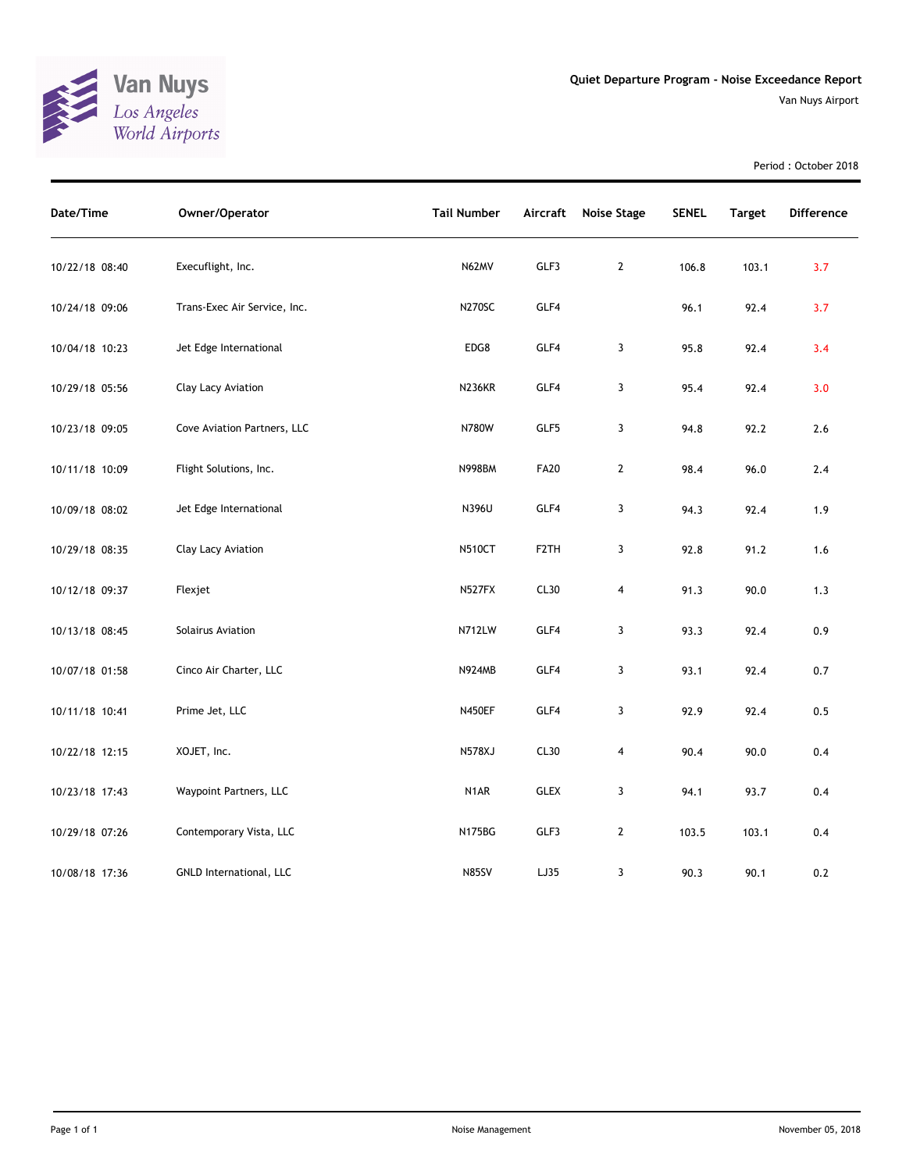

Period : October 2018

| Date/Time      | Owner/Operator               | <b>Tail Number</b> | Aircraft          | <b>Noise Stage</b>      | <b>SENEL</b> | <b>Target</b> | <b>Difference</b> |
|----------------|------------------------------|--------------------|-------------------|-------------------------|--------------|---------------|-------------------|
| 10/22/18 08:40 | Execuflight, Inc.            | N62MV              | GLF3              | $\overline{2}$          | 106.8        | 103.1         | 3.7               |
| 10/24/18 09:06 | Trans-Exec Air Service, Inc. | <b>N270SC</b>      | GLF4              |                         | 96.1         | 92.4          | 3.7               |
| 10/04/18 10:23 | Jet Edge International       | EDG8               | GLF4              | 3                       | 95.8         | 92.4          | 3.4               |
| 10/29/18 05:56 | Clay Lacy Aviation           | <b>N236KR</b>      | GLF4              | 3                       | 95.4         | 92.4          | 3.0               |
| 10/23/18 09:05 | Cove Aviation Partners, LLC  | N780W              | GLF5              | $\mathbf{3}$            | 94.8         | 92.2          | $2.6$             |
| 10/11/18 10:09 | Flight Solutions, Inc.       | <b>N998BM</b>      | <b>FA20</b>       | $\mathbf{2}$            | 98.4         | 96.0          | 2.4               |
| 10/09/18 08:02 | Jet Edge International       | N396U              | GLF4              | 3                       | 94.3         | 92.4          | 1.9               |
| 10/29/18 08:35 | Clay Lacy Aviation           | <b>N510CT</b>      | F <sub>2</sub> TH | 3                       | 92.8         | 91.2          | 1.6               |
| 10/12/18 09:37 | Flexjet                      | N527FX             | CL30              | $\overline{\mathbf{4}}$ | 91.3         | 90.0          | 1.3               |
| 10/13/18 08:45 | Solairus Aviation            | N712LW             | GLF4              | 3                       | 93.3         | 92.4          | 0.9               |
| 10/07/18 01:58 | Cinco Air Charter, LLC       | <b>N924MB</b>      | GLF4              | 3                       | 93.1         | 92.4          | 0.7               |
| 10/11/18 10:41 | Prime Jet, LLC               | <b>N450EF</b>      | GLF4              | 3                       | 92.9         | 92.4          | 0.5               |
| 10/22/18 12:15 | XOJET, Inc.                  | <b>N578XJ</b>      | CL30              | 4                       | 90.4         | 90.0          | 0.4               |
| 10/23/18 17:43 | Waypoint Partners, LLC       | N1AR               | <b>GLEX</b>       | 3                       | 94.1         | 93.7          | 0.4               |
| 10/29/18 07:26 | Contemporary Vista, LLC      | <b>N175BG</b>      | GLF3              | $\mathbf{2}$            | 103.5        | 103.1         | 0.4               |
| 10/08/18 17:36 | GNLD International, LLC      | <b>N85SV</b>       | LJ35              | 3                       | 90.3         | 90.1          | 0.2               |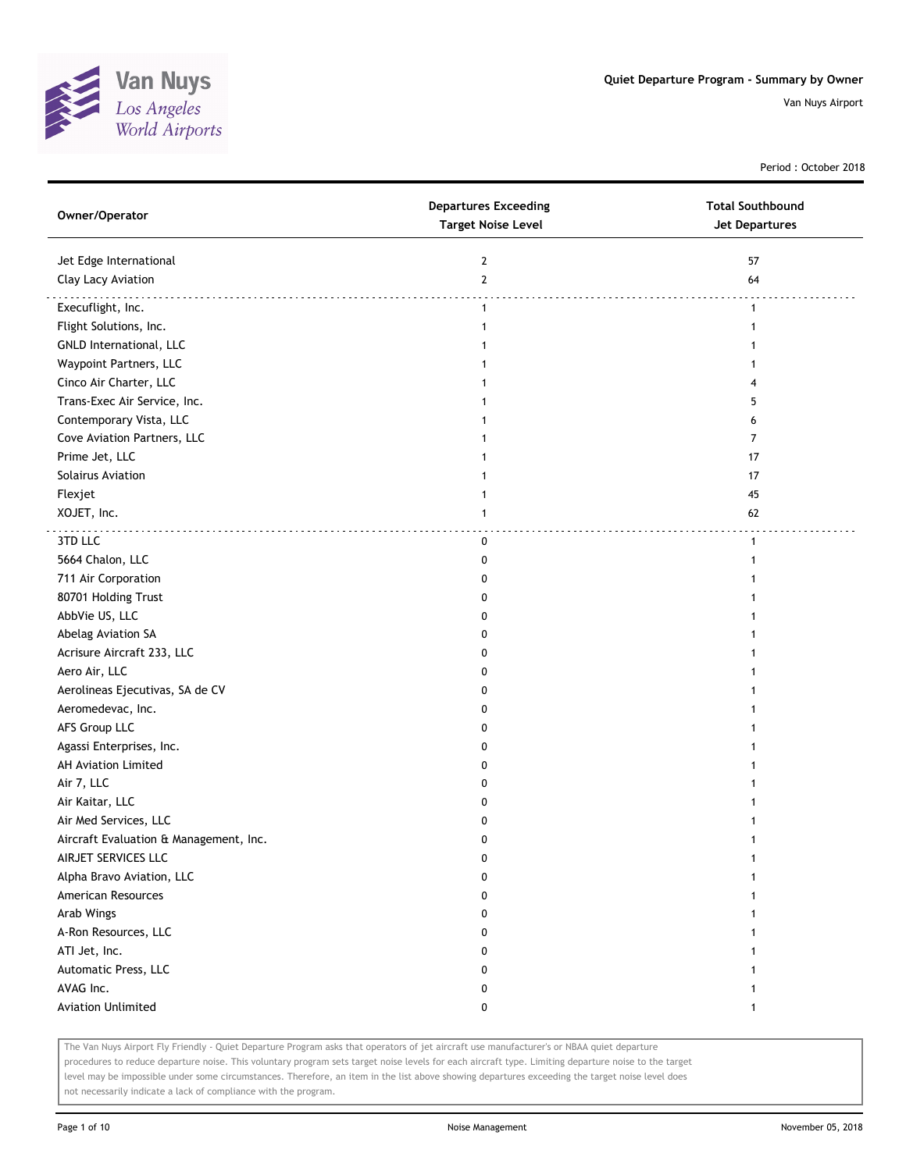

Period : October 2018

| Owner/Operator                         | <b>Departures Exceeding</b><br><b>Target Noise Level</b> | <b>Total Southbound</b><br><b>Jet Departures</b> |
|----------------------------------------|----------------------------------------------------------|--------------------------------------------------|
| Jet Edge International                 | 2                                                        | 57                                               |
| Clay Lacy Aviation                     | $\mathbf{2}$                                             | 64                                               |
| Execuflight, Inc.                      | $\mathbf{1}$                                             | $\mathbf{1}$                                     |
| Flight Solutions, Inc.                 | 1                                                        | 1                                                |
| <b>GNLD International, LLC</b>         | 1                                                        |                                                  |
| Waypoint Partners, LLC                 | 1                                                        |                                                  |
| Cinco Air Charter, LLC                 | 1                                                        |                                                  |
| Trans-Exec Air Service, Inc.           |                                                          | 5                                                |
| Contemporary Vista, LLC                |                                                          | 6                                                |
| Cove Aviation Partners, LLC            |                                                          | 7                                                |
| Prime Jet, LLC                         |                                                          | 17                                               |
| Solairus Aviation                      |                                                          | 17                                               |
| Flexjet                                |                                                          | 45                                               |
| XOJET, Inc.                            | 1                                                        | 62                                               |
| 3TD LLC                                | 0                                                        | $\mathbf{1}$                                     |
| 5664 Chalon, LLC                       | 0                                                        |                                                  |
| 711 Air Corporation                    | 0                                                        |                                                  |
| 80701 Holding Trust                    | 0                                                        |                                                  |
| AbbVie US, LLC                         | 0                                                        |                                                  |
| Abelag Aviation SA                     | 0                                                        |                                                  |
| Acrisure Aircraft 233, LLC             | 0                                                        |                                                  |
| Aero Air, LLC                          | 0                                                        |                                                  |
| Aerolineas Ejecutivas, SA de CV        | 0                                                        |                                                  |
| Aeromedevac, Inc.                      | 0                                                        |                                                  |
| AFS Group LLC                          | 0                                                        |                                                  |
| Agassi Enterprises, Inc.               | 0                                                        |                                                  |
| AH Aviation Limited                    | 0                                                        |                                                  |
| Air 7, LLC                             | 0                                                        |                                                  |
| Air Kaitar, LLC                        | 0                                                        |                                                  |
| Air Med Services, LLC                  | 0                                                        |                                                  |
| Aircraft Evaluation & Management, Inc. | 0                                                        |                                                  |
| AIRJET SERVICES LLC                    | 0                                                        |                                                  |
| Alpha Bravo Aviation, LLC              | 0                                                        |                                                  |
| American Resources                     | 0                                                        |                                                  |
| Arab Wings                             | 0                                                        |                                                  |
| A-Ron Resources, LLC                   | 0                                                        |                                                  |
| ATI Jet, Inc.                          | 0                                                        |                                                  |
| Automatic Press, LLC                   | 0                                                        |                                                  |
| AVAG Inc.                              | 0                                                        |                                                  |
| <b>Aviation Unlimited</b>              | 0                                                        |                                                  |

The Van Nuys Airport Fly Friendly - Quiet Departure Program asks that operators of jet aircraft use manufacturer's or NBAA quiet departure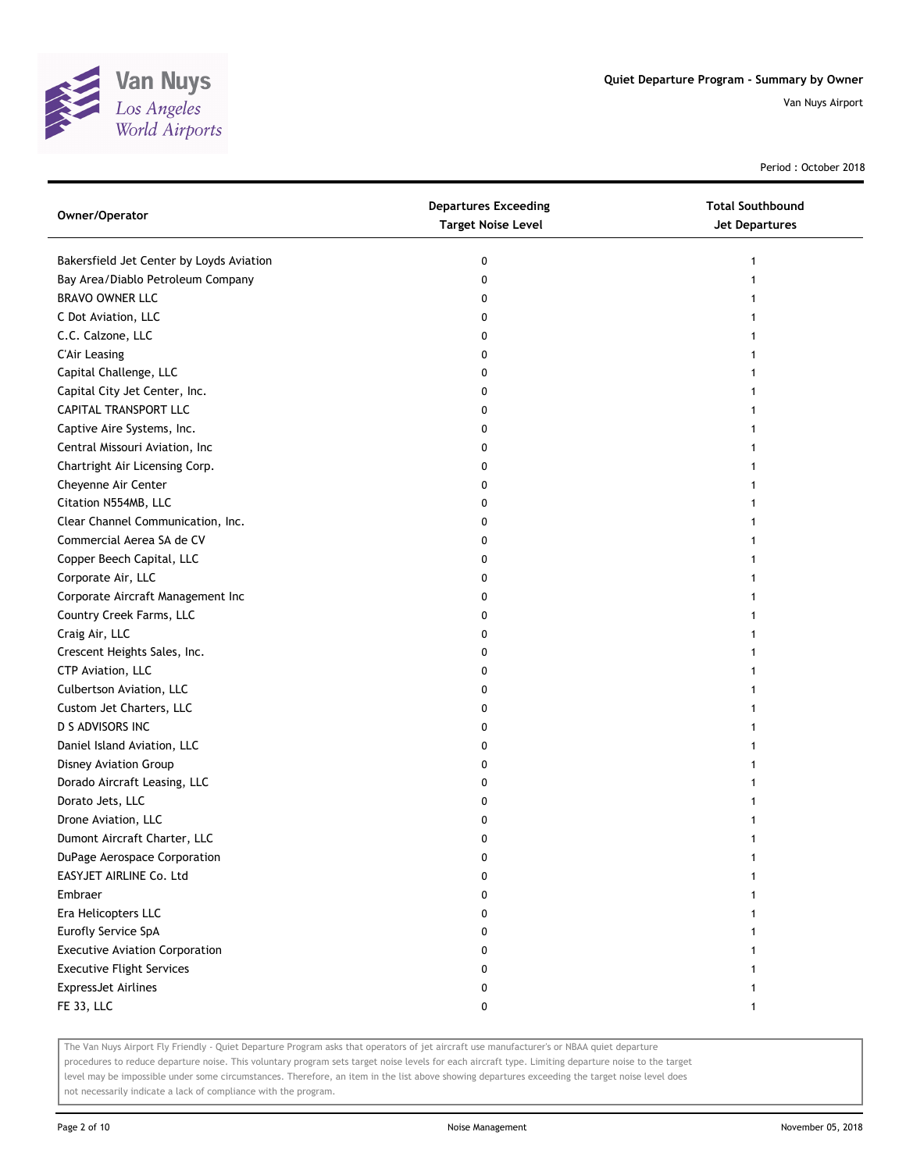

Period : October 2018

| Owner/Operator                           | <b>Departures Exceeding</b><br><b>Target Noise Level</b> | <b>Total Southbound</b><br><b>Jet Departures</b> |
|------------------------------------------|----------------------------------------------------------|--------------------------------------------------|
| Bakersfield Jet Center by Loyds Aviation | 0                                                        | 1                                                |
| Bay Area/Diablo Petroleum Company        | 0                                                        |                                                  |
| BRAVO OWNER LLC                          | 0                                                        |                                                  |
| C Dot Aviation, LLC                      | 0                                                        |                                                  |
| C.C. Calzone, LLC                        | 0                                                        |                                                  |
| <b>C'Air Leasing</b>                     | 0                                                        |                                                  |
| Capital Challenge, LLC                   | 0                                                        |                                                  |
| Capital City Jet Center, Inc.            | 0                                                        |                                                  |
| CAPITAL TRANSPORT LLC                    | 0                                                        |                                                  |
| Captive Aire Systems, Inc.               | 0                                                        |                                                  |
| Central Missouri Aviation, Inc           | 0                                                        |                                                  |
| Chartright Air Licensing Corp.           | 0                                                        |                                                  |
| Cheyenne Air Center                      | 0                                                        |                                                  |
| Citation N554MB, LLC                     | 0                                                        |                                                  |
| Clear Channel Communication, Inc.        | O                                                        |                                                  |
| Commercial Aerea SA de CV                | 0                                                        |                                                  |
| Copper Beech Capital, LLC                | 0                                                        |                                                  |
| Corporate Air, LLC                       | 0                                                        |                                                  |
| Corporate Aircraft Management Inc        | 0                                                        |                                                  |
| Country Creek Farms, LLC                 | 0                                                        |                                                  |
| Craig Air, LLC                           | 0                                                        |                                                  |
| Crescent Heights Sales, Inc.             | 0                                                        |                                                  |
| CTP Aviation, LLC                        | 0                                                        |                                                  |
| Culbertson Aviation, LLC                 | 0                                                        |                                                  |
| Custom Jet Charters, LLC                 | 0                                                        |                                                  |
| D S ADVISORS INC                         | 0                                                        |                                                  |
| Daniel Island Aviation, LLC              | 0                                                        | 1                                                |
| Disney Aviation Group                    | 0                                                        |                                                  |
| Dorado Aircraft Leasing, LLC             | 0                                                        |                                                  |
| Dorato Jets, LLC                         | 0                                                        |                                                  |
| Drone Aviation, LLC                      | 0                                                        |                                                  |
| Dumont Aircraft Charter, LLC             | 0                                                        |                                                  |
| DuPage Aerospace Corporation             | 0                                                        |                                                  |
| EASYJET AIRLINE Co. Ltd                  | 0                                                        |                                                  |
| Embraer                                  | 0                                                        |                                                  |
| Era Helicopters LLC                      | 0                                                        |                                                  |
| Eurofly Service SpA                      | 0                                                        |                                                  |
| <b>Executive Aviation Corporation</b>    | 0                                                        |                                                  |
| <b>Executive Flight Services</b>         | 0                                                        |                                                  |
| <b>ExpressJet Airlines</b>               | 0                                                        |                                                  |
| <b>FE 33, LLC</b>                        | 0                                                        | 1                                                |

The Van Nuys Airport Fly Friendly - Quiet Departure Program asks that operators of jet aircraft use manufacturer's or NBAA quiet departure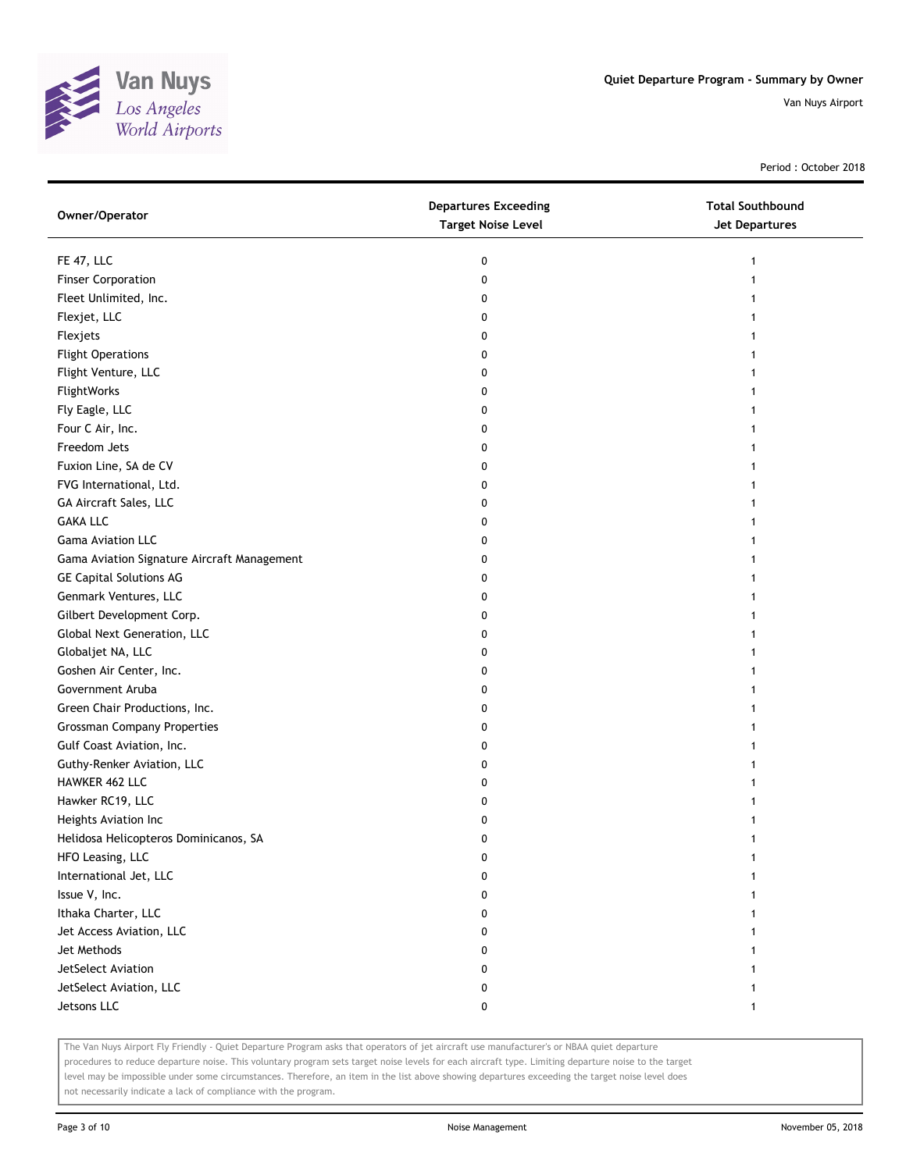

Period : October 2018

| Owner/Operator                              | <b>Departures Exceeding</b><br><b>Target Noise Level</b> | <b>Total Southbound</b><br>Jet Departures |
|---------------------------------------------|----------------------------------------------------------|-------------------------------------------|
| FE 47, LLC                                  | 0                                                        | 1                                         |
| <b>Finser Corporation</b>                   | 0                                                        |                                           |
| Fleet Unlimited, Inc.                       | 0                                                        |                                           |
| Flexjet, LLC                                | 0                                                        |                                           |
| Flexjets                                    | 0                                                        |                                           |
| <b>Flight Operations</b>                    | 0                                                        | 1                                         |
| Flight Venture, LLC                         | 0                                                        | 1                                         |
| FlightWorks                                 | 0                                                        |                                           |
| Fly Eagle, LLC                              | 0                                                        |                                           |
| Four C Air, Inc.                            | 0                                                        |                                           |
| Freedom Jets                                | 0                                                        |                                           |
| Fuxion Line, SA de CV                       | 0                                                        |                                           |
| FVG International, Ltd.                     | 0                                                        |                                           |
| GA Aircraft Sales, LLC                      | 0                                                        |                                           |
| <b>GAKA LLC</b>                             | 0                                                        |                                           |
| <b>Gama Aviation LLC</b>                    | 0                                                        |                                           |
| Gama Aviation Signature Aircraft Management | 0                                                        |                                           |
| <b>GE Capital Solutions AG</b>              | 0                                                        |                                           |
| Genmark Ventures, LLC                       | 0                                                        |                                           |
| Gilbert Development Corp.                   | 0                                                        |                                           |
| Global Next Generation, LLC                 | 0                                                        |                                           |
| Globaljet NA, LLC                           | 0                                                        |                                           |
| Goshen Air Center, Inc.                     | 0                                                        |                                           |
| Government Aruba                            | 0                                                        |                                           |
| Green Chair Productions, Inc.               | 0                                                        | 1                                         |
| <b>Grossman Company Properties</b>          | 0                                                        | 1                                         |
| Gulf Coast Aviation, Inc.                   | 0                                                        |                                           |
| Guthy-Renker Aviation, LLC                  | 0                                                        |                                           |
| HAWKER 462 LLC                              | 0                                                        |                                           |
| Hawker RC19, LLC                            | 0                                                        |                                           |
| Heights Aviation Inc                        | 0                                                        |                                           |
| Helidosa Helicopteros Dominicanos, SA       | 0                                                        |                                           |
| HFO Leasing, LLC                            | 0                                                        |                                           |
| International Jet, LLC                      | 0                                                        |                                           |
| Issue V, Inc.                               | 0                                                        |                                           |
| Ithaka Charter, LLC                         | 0                                                        |                                           |
| Jet Access Aviation, LLC                    | 0                                                        |                                           |
| Jet Methods                                 | 0                                                        |                                           |
| JetSelect Aviation                          | 0                                                        |                                           |
| JetSelect Aviation, LLC                     | 0                                                        |                                           |
| Jetsons LLC                                 | 0                                                        | $\mathbf{1}$                              |

The Van Nuys Airport Fly Friendly - Quiet Departure Program asks that operators of jet aircraft use manufacturer's or NBAA quiet departure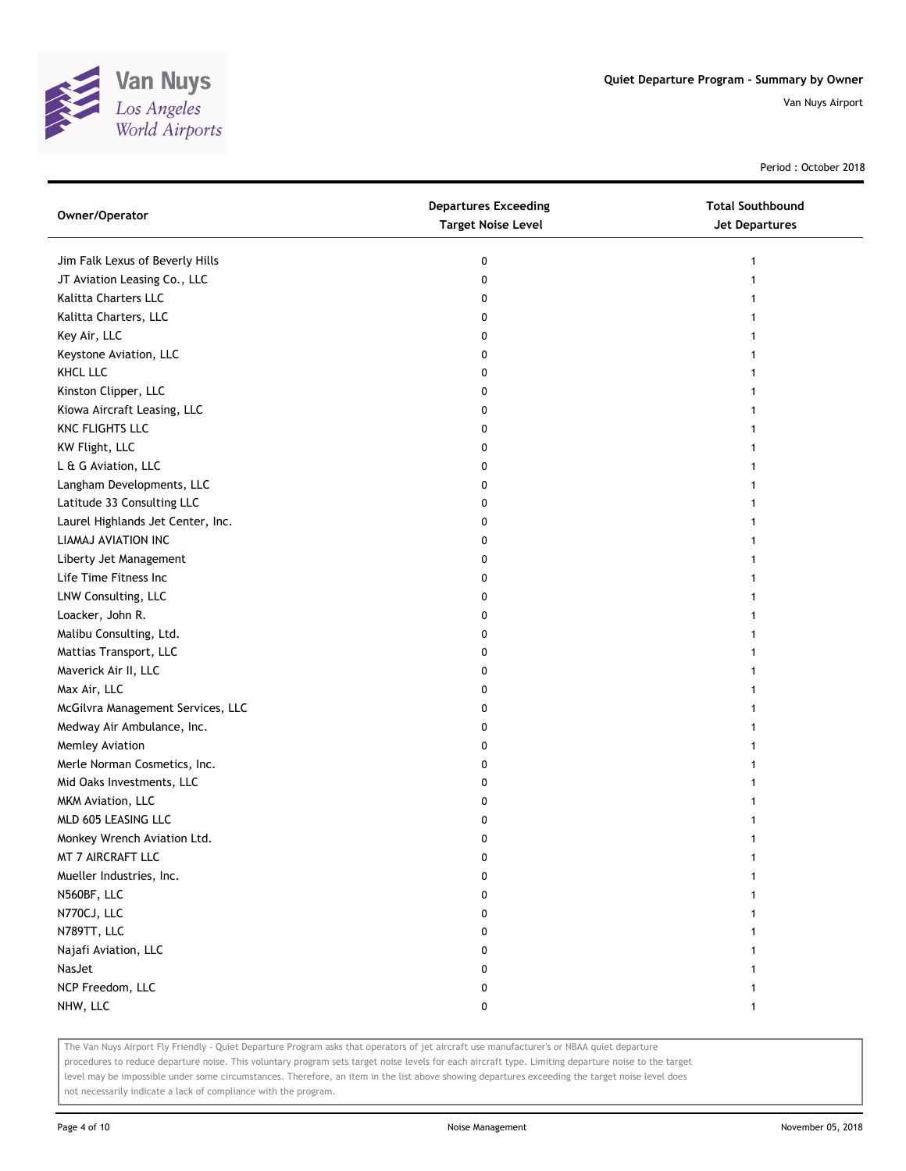

Period : October 2018

| Owner/Operator                    | <b>Departures Exceeding</b><br><b>Target Noise Level</b> | <b>Total Southbound</b><br>Jet Departures |
|-----------------------------------|----------------------------------------------------------|-------------------------------------------|
| Jim Falk Lexus of Beverly Hills   | 0                                                        | 1                                         |
| JT Aviation Leasing Co., LLC      | 0                                                        |                                           |
| Kalitta Charters LLC              | 0                                                        |                                           |
| Kalitta Charters, LLC             | 0                                                        |                                           |
| Key Air, LLC                      | 0                                                        |                                           |
| Keystone Aviation, LLC            | 0                                                        | 1                                         |
| KHCL LLC                          | 0                                                        |                                           |
| Kinston Clipper, LLC              | 0                                                        |                                           |
| Kiowa Aircraft Leasing, LLC       | 0                                                        |                                           |
| KNC FLIGHTS LLC                   | 0                                                        |                                           |
| KW Flight, LLC                    | 0                                                        |                                           |
| L & G Aviation, LLC               | 0                                                        |                                           |
| Langham Developments, LLC         | 0                                                        |                                           |
| Latitude 33 Consulting LLC        | 0                                                        |                                           |
| Laurel Highlands Jet Center, Inc. | 0                                                        |                                           |
| LIAMAJ AVIATION INC               | 0                                                        |                                           |
| Liberty Jet Management            | 0                                                        |                                           |
| Life Time Fitness Inc             | 0                                                        |                                           |
| LNW Consulting, LLC               | 0                                                        |                                           |
| Loacker, John R.                  | 0                                                        |                                           |
| Malibu Consulting, Ltd.           | 0                                                        |                                           |
| Mattias Transport, LLC            | 0                                                        |                                           |
| Maverick Air II, LLC              | 0                                                        |                                           |
| Max Air, LLC                      | 0                                                        |                                           |
| McGilvra Management Services, LLC | 0                                                        |                                           |
| Medway Air Ambulance, Inc.        | 0                                                        |                                           |
| Memley Aviation                   | 0                                                        |                                           |
| Merle Norman Cosmetics, Inc.      | 0                                                        |                                           |
| Mid Oaks Investments, LLC         | 0                                                        |                                           |
| MKM Aviation, LLC                 | 0                                                        |                                           |
| MLD 605 LEASING LLC               | 0                                                        |                                           |
| Monkey Wrench Aviation Ltd.       | 0                                                        |                                           |
| MT 7 AIRCRAFT LLC                 | 0                                                        |                                           |
| Mueller Industries, Inc.          | 0                                                        |                                           |
| N560BF, LLC                       | 0                                                        |                                           |
| N770CJ, LLC                       | 0                                                        |                                           |
| N789TT, LLC                       | 0                                                        |                                           |
| Najafi Aviation, LLC              | 0                                                        |                                           |
| NasJet                            | 0                                                        |                                           |
| NCP Freedom, LLC                  | 0                                                        |                                           |
| NHW, LLC                          | 0                                                        | 1                                         |

The Van Nuys Airport Fly Friendly - Quiet Departure Program asks that operators of jet aircraft use manufacturer's or NBAA quiet departure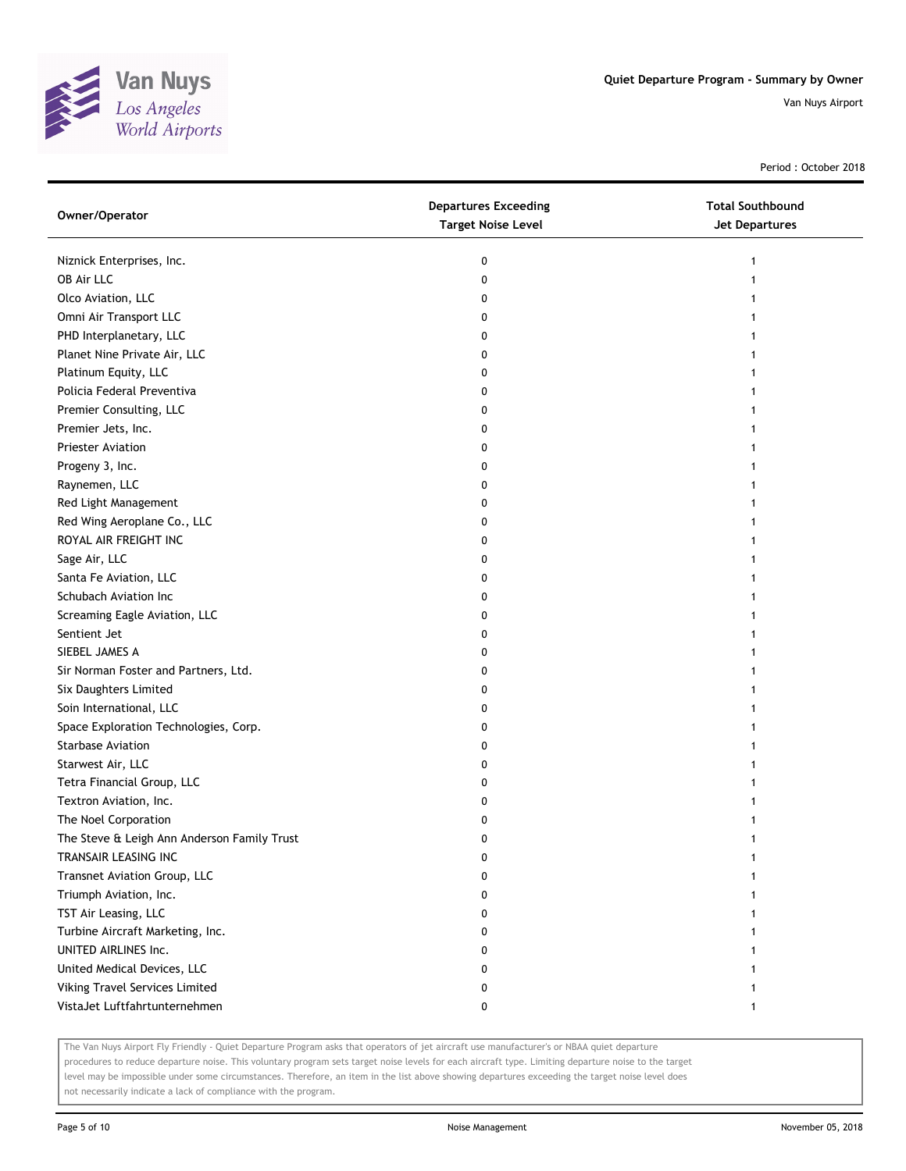

Period : October 2018

| Owner/Operator                              | <b>Departures Exceeding</b><br><b>Target Noise Level</b> | <b>Total Southbound</b><br>Jet Departures |
|---------------------------------------------|----------------------------------------------------------|-------------------------------------------|
| Niznick Enterprises, Inc.                   | 0                                                        |                                           |
| OB Air LLC                                  | 0                                                        |                                           |
| Olco Aviation, LLC                          | 0                                                        |                                           |
| Omni Air Transport LLC                      | 0                                                        |                                           |
| PHD Interplanetary, LLC                     | 0                                                        |                                           |
| Planet Nine Private Air, LLC                | 0                                                        |                                           |
| Platinum Equity, LLC                        | 0                                                        |                                           |
| Policia Federal Preventiva                  | 0                                                        |                                           |
| Premier Consulting, LLC                     | 0                                                        |                                           |
| Premier Jets, Inc.                          | 0                                                        |                                           |
| <b>Priester Aviation</b>                    | 0                                                        |                                           |
| Progeny 3, Inc.                             | 0                                                        |                                           |
| Raynemen, LLC                               | 0                                                        |                                           |
| Red Light Management                        | 0                                                        |                                           |
| Red Wing Aeroplane Co., LLC                 | 0                                                        |                                           |
| ROYAL AIR FREIGHT INC                       | 0                                                        |                                           |
| Sage Air, LLC                               | 0                                                        |                                           |
| Santa Fe Aviation, LLC                      | 0                                                        |                                           |
| Schubach Aviation Inc                       | 0                                                        |                                           |
| Screaming Eagle Aviation, LLC               | 0                                                        |                                           |
| Sentient Jet                                | 0                                                        |                                           |
| SIEBEL JAMES A                              | 0                                                        |                                           |
| Sir Norman Foster and Partners, Ltd.        | 0                                                        |                                           |
| Six Daughters Limited                       | 0                                                        |                                           |
| Soin International, LLC                     | 0                                                        |                                           |
| Space Exploration Technologies, Corp.       | 0                                                        |                                           |
| <b>Starbase Aviation</b>                    | 0                                                        |                                           |
| Starwest Air, LLC                           | 0                                                        |                                           |
| Tetra Financial Group, LLC                  | 0                                                        |                                           |
| Textron Aviation, Inc.                      | 0                                                        |                                           |
| The Noel Corporation                        | 0                                                        |                                           |
| The Steve & Leigh Ann Anderson Family Trust | 0                                                        |                                           |
| TRANSAIR LEASING INC                        | 0                                                        |                                           |
| Transnet Aviation Group, LLC                | 0                                                        |                                           |
| Triumph Aviation, Inc.                      | 0                                                        |                                           |
| TST Air Leasing, LLC                        | 0                                                        |                                           |
| Turbine Aircraft Marketing, Inc.            | 0                                                        |                                           |
| UNITED AIRLINES Inc.                        | 0                                                        |                                           |
| United Medical Devices, LLC                 | 0                                                        |                                           |
| Viking Travel Services Limited              | 0                                                        |                                           |
| VistaJet Luftfahrtunternehmen               | 0                                                        |                                           |

The Van Nuys Airport Fly Friendly - Quiet Departure Program asks that operators of jet aircraft use manufacturer's or NBAA quiet departure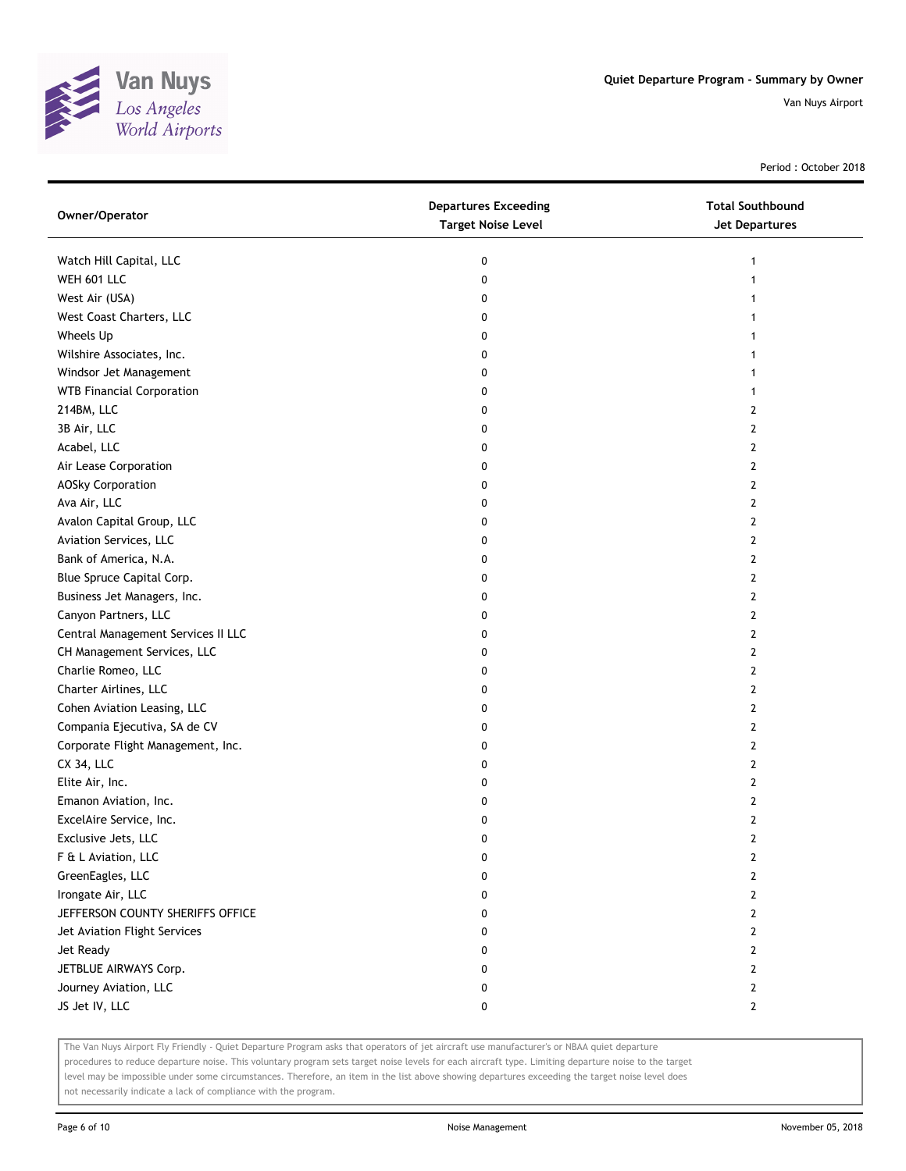

Period : October 2018

| Owner/Operator                     | <b>Departures Exceeding</b><br><b>Target Noise Level</b> | <b>Total Southbound</b><br>Jet Departures |
|------------------------------------|----------------------------------------------------------|-------------------------------------------|
| Watch Hill Capital, LLC            | 0                                                        | 1                                         |
| WEH 601 LLC                        | 0                                                        | 1                                         |
| West Air (USA)                     | 0                                                        |                                           |
| West Coast Charters, LLC           | 0                                                        |                                           |
| Wheels Up                          | 0                                                        |                                           |
| Wilshire Associates, Inc.          | 0                                                        | 1                                         |
| Windsor Jet Management             | 0                                                        | 1                                         |
| <b>WTB Financial Corporation</b>   | 0                                                        | $\mathbf{1}$                              |
| 214BM, LLC                         | 0                                                        | 2                                         |
| 3B Air, LLC                        | 0                                                        | $\overline{2}$                            |
| Acabel, LLC                        | 0                                                        | 2                                         |
| Air Lease Corporation              | 0                                                        | 2                                         |
| <b>AOSky Corporation</b>           | 0                                                        | 2                                         |
| Ava Air, LLC                       | 0                                                        | $\mathbf{2}$                              |
| Avalon Capital Group, LLC          | 0                                                        | $\mathbf{2}$                              |
| Aviation Services, LLC             | 0                                                        | 2                                         |
| Bank of America, N.A.              | 0                                                        | 2                                         |
| Blue Spruce Capital Corp.          | 0                                                        | 2                                         |
| Business Jet Managers, Inc.        | 0                                                        | 2                                         |
| Canyon Partners, LLC               | 0                                                        | 2                                         |
| Central Management Services II LLC | 0                                                        | 2                                         |
| CH Management Services, LLC        | 0                                                        | 2                                         |
| Charlie Romeo, LLC                 | 0                                                        | 2                                         |
| Charter Airlines, LLC              | 0                                                        | 2                                         |
| Cohen Aviation Leasing, LLC        | 0                                                        | 2                                         |
| Compania Ejecutiva, SA de CV       | 0                                                        | 2                                         |
| Corporate Flight Management, Inc.  | 0                                                        | 2                                         |
| CX 34, LLC                         | 0                                                        | 2                                         |
| Elite Air, Inc.                    | 0                                                        | 2                                         |
| Emanon Aviation, Inc.              | 0                                                        | 2                                         |
| ExcelAire Service, Inc.            | 0                                                        | 2                                         |
| Exclusive Jets, LLC                | 0                                                        | $\overline{2}$                            |
| F & L Aviation, LLC                | 0                                                        | 2                                         |
| GreenEagles, LLC                   | 0                                                        | 2                                         |
| Irongate Air, LLC                  | 0                                                        | $\mathbf{2}$                              |
| JEFFERSON COUNTY SHERIFFS OFFICE   | 0                                                        | $\mathbf{2}$                              |
| Jet Aviation Flight Services       | 0                                                        | $\mathbf{2}$                              |
| Jet Ready                          | 0                                                        | 2                                         |
| JETBLUE AIRWAYS Corp.              | 0                                                        | 2                                         |
| Journey Aviation, LLC              | 0                                                        | $\mathbf{2}$                              |
| JS Jet IV, LLC                     | 0                                                        | $\mathbf{2}$                              |

The Van Nuys Airport Fly Friendly - Quiet Departure Program asks that operators of jet aircraft use manufacturer's or NBAA quiet departure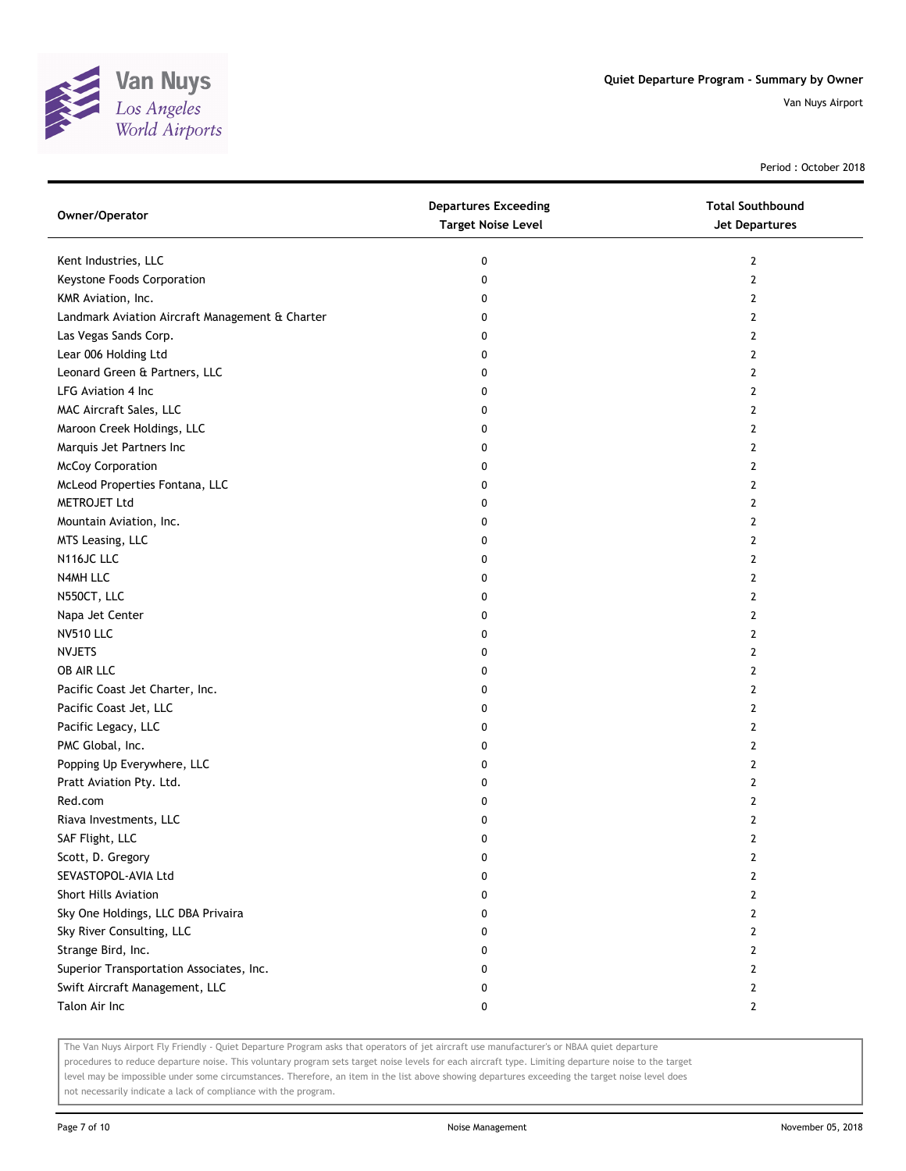

Period : October 2018

| Owner/Operator                                  | <b>Departures Exceeding</b><br><b>Target Noise Level</b> | <b>Total Southbound</b><br><b>Jet Departures</b> |
|-------------------------------------------------|----------------------------------------------------------|--------------------------------------------------|
| Kent Industries, LLC                            | 0                                                        | $\mathbf{2}$                                     |
| Keystone Foods Corporation                      | 0                                                        | 2                                                |
| KMR Aviation, Inc.                              | 0                                                        | 2                                                |
| Landmark Aviation Aircraft Management & Charter | 0                                                        | 2                                                |
| Las Vegas Sands Corp.                           | 0                                                        | 2                                                |
| Lear 006 Holding Ltd                            | 0                                                        | 2                                                |
| Leonard Green & Partners, LLC                   | 0                                                        | 2                                                |
| LFG Aviation 4 Inc.                             | 0                                                        | 2                                                |
| MAC Aircraft Sales, LLC                         | 0                                                        | 2                                                |
| Maroon Creek Holdings, LLC                      | 0                                                        | 2                                                |
| Marquis Jet Partners Inc                        | 0                                                        | 2                                                |
| McCoy Corporation                               | 0                                                        | 2                                                |
| McLeod Properties Fontana, LLC                  | 0                                                        | 2                                                |
| METROJET Ltd                                    | 0                                                        | 2                                                |
| Mountain Aviation, Inc.                         | 0                                                        | 2                                                |
| MTS Leasing, LLC                                | 0                                                        | $\overline{2}$                                   |
| N116JC LLC                                      | 0                                                        | $\mathbf{2}$                                     |
| N4MH LLC                                        | 0                                                        | 2                                                |
| N550CT, LLC                                     | 0                                                        | 2                                                |
| Napa Jet Center                                 | 0                                                        | 2                                                |
| <b>NV510 LLC</b>                                | 0                                                        | 2                                                |
| <b>NVJETS</b>                                   | 0                                                        | 2                                                |
| OB AIR LLC                                      | 0                                                        | 2                                                |
| Pacific Coast Jet Charter, Inc.                 | 0                                                        | 2                                                |
| Pacific Coast Jet, LLC                          | 0                                                        | 2                                                |
| Pacific Legacy, LLC                             | 0                                                        | $\overline{2}$                                   |
| PMC Global, Inc.                                | 0                                                        | $\mathbf{2}$                                     |
| Popping Up Everywhere, LLC                      | 0                                                        | 2                                                |
| Pratt Aviation Pty. Ltd.                        | 0                                                        | 2                                                |
| Red.com                                         | 0                                                        | 2                                                |
| Riava Investments, LLC                          | 0                                                        | 2                                                |
| SAF Flight, LLC                                 | 0                                                        | 2                                                |
| Scott, D. Gregory                               | 0                                                        | 2                                                |
| SEVASTOPOL-AVIA Ltd                             | 0                                                        | 2                                                |
| <b>Short Hills Aviation</b>                     | 0                                                        | $\overline{2}$                                   |
| Sky One Holdings, LLC DBA Privaira              | 0                                                        | 2                                                |
| Sky River Consulting, LLC                       | 0                                                        | $\mathbf{2}$                                     |
| Strange Bird, Inc.                              | 0                                                        | 2                                                |
| Superior Transportation Associates, Inc.        | 0                                                        | 2                                                |
| Swift Aircraft Management, LLC                  | 0                                                        | 2                                                |
| Talon Air Inc                                   | 0                                                        | 2                                                |

The Van Nuys Airport Fly Friendly - Quiet Departure Program asks that operators of jet aircraft use manufacturer's or NBAA quiet departure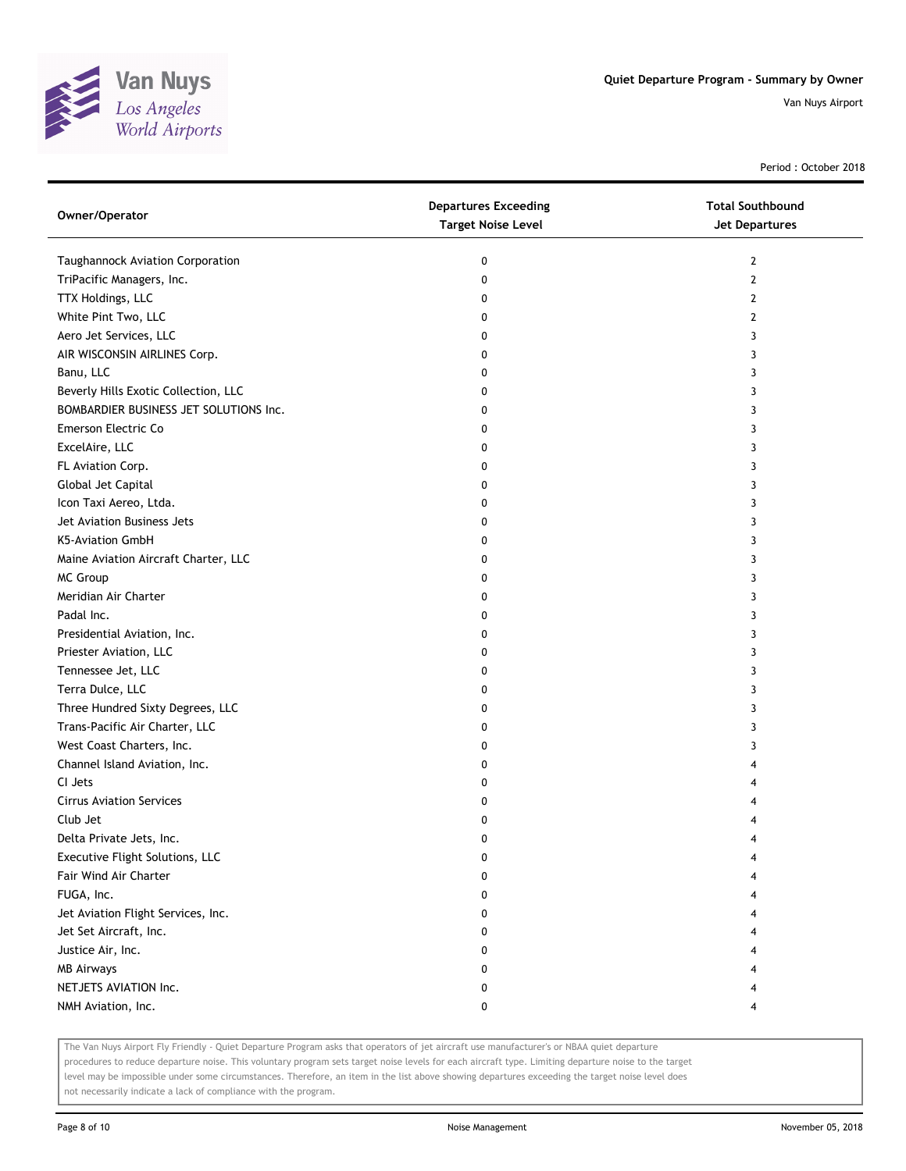

Period : October 2018

| Owner/Operator                         | <b>Departures Exceeding</b><br><b>Target Noise Level</b> | <b>Total Southbound</b><br><b>Jet Departures</b> |
|----------------------------------------|----------------------------------------------------------|--------------------------------------------------|
| Taughannock Aviation Corporation       | 0                                                        | $\mathbf{2}$                                     |
| TriPacific Managers, Inc.              | 0                                                        | 2                                                |
| TTX Holdings, LLC                      | 0                                                        | 2                                                |
| White Pint Two, LLC                    | 0                                                        | 2                                                |
| Aero Jet Services, LLC                 | 0                                                        | 3                                                |
| AIR WISCONSIN AIRLINES Corp.           | 0                                                        | 3                                                |
| Banu, LLC                              | 0                                                        | 3                                                |
| Beverly Hills Exotic Collection, LLC   | 0                                                        | 3                                                |
| BOMBARDIER BUSINESS JET SOLUTIONS Inc. | 0                                                        | 3                                                |
| Emerson Electric Co                    | 0                                                        | 3                                                |
| ExcelAire, LLC                         | 0                                                        | 3                                                |
| FL Aviation Corp.                      | 0                                                        | 3                                                |
| Global Jet Capital                     | 0                                                        | 3                                                |
| Icon Taxi Aereo, Ltda.                 | 0                                                        | 3                                                |
| Jet Aviation Business Jets             | 0                                                        | 3                                                |
| K5-Aviation GmbH                       | 0                                                        | 3                                                |
| Maine Aviation Aircraft Charter, LLC   | 0                                                        | 3                                                |
| MC Group                               | 0                                                        | 3                                                |
| Meridian Air Charter                   | 0                                                        | 3                                                |
| Padal Inc.                             | 0                                                        | 3                                                |
| Presidential Aviation, Inc.            | 0                                                        | 3                                                |
| Priester Aviation, LLC                 | 0                                                        | 3                                                |
| Tennessee Jet, LLC                     | 0                                                        | 3                                                |
| Terra Dulce, LLC                       | 0                                                        | 3                                                |
| Three Hundred Sixty Degrees, LLC       | 0                                                        | 3                                                |
| Trans-Pacific Air Charter, LLC         | 0                                                        | 3                                                |
| West Coast Charters, Inc.              | 0                                                        | 3                                                |
| Channel Island Aviation, Inc.          | 0                                                        | 4                                                |
| CI Jets                                | 0                                                        | 4                                                |
| <b>Cirrus Aviation Services</b>        | 0                                                        |                                                  |
| Club Jet                               | 0                                                        |                                                  |
| Delta Private Jets, Inc.               | 0                                                        |                                                  |
| Executive Flight Solutions, LLC        | 0                                                        |                                                  |
| Fair Wind Air Charter                  | 0                                                        |                                                  |
| FUGA, Inc.                             | 0                                                        |                                                  |
| Jet Aviation Flight Services, Inc.     | 0                                                        |                                                  |
| Jet Set Aircraft, Inc.                 | 0                                                        |                                                  |
| Justice Air, Inc.                      | 0                                                        |                                                  |
| <b>MB Airways</b>                      | 0                                                        |                                                  |
| NETJETS AVIATION Inc.                  | 0                                                        |                                                  |
| NMH Aviation, Inc.                     | 0                                                        |                                                  |

The Van Nuys Airport Fly Friendly - Quiet Departure Program asks that operators of jet aircraft use manufacturer's or NBAA quiet departure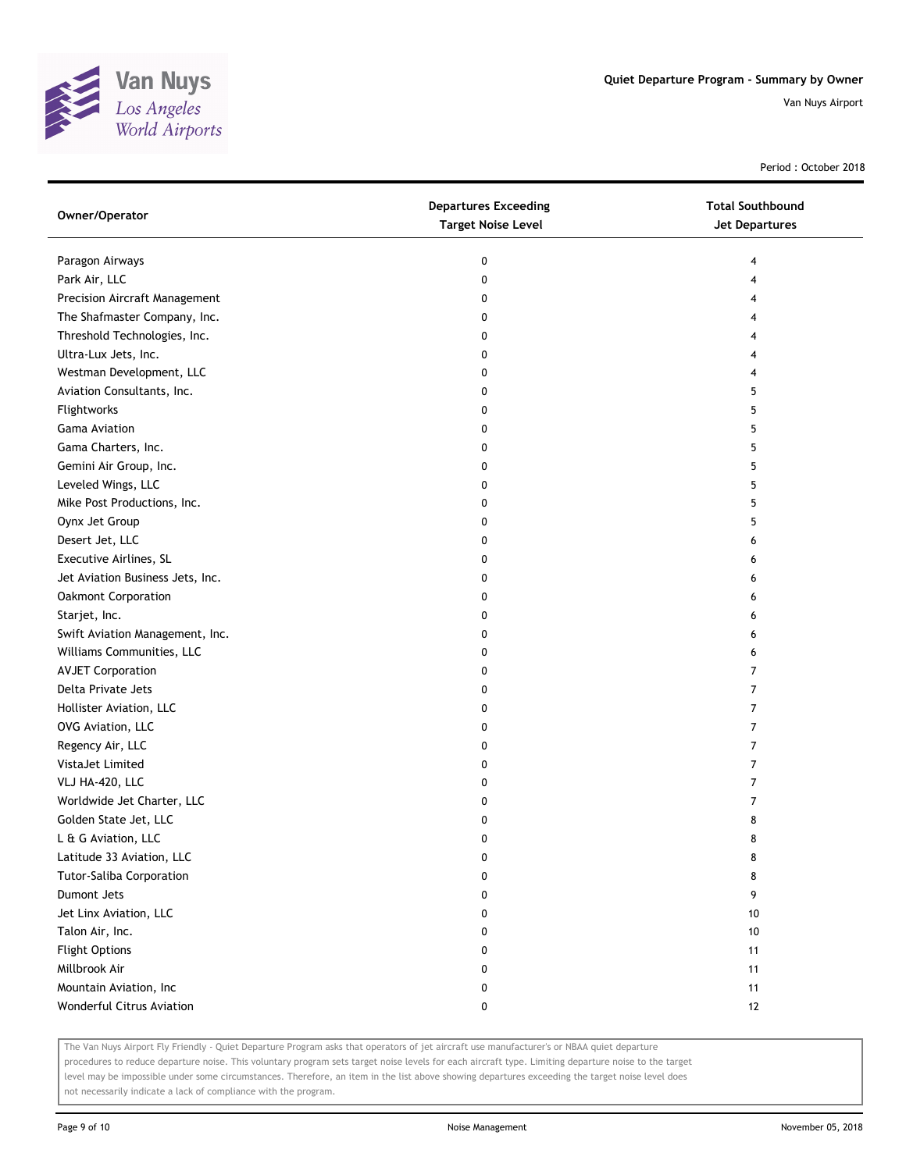

Period : October 2018

| Owner/Operator                   | <b>Departures Exceeding</b><br><b>Target Noise Level</b> | <b>Total Southbound</b><br><b>Jet Departures</b> |
|----------------------------------|----------------------------------------------------------|--------------------------------------------------|
| Paragon Airways                  | 0                                                        | 4                                                |
| Park Air, LLC                    | 0                                                        | 4                                                |
| Precision Aircraft Management    | 0                                                        | 4                                                |
| The Shafmaster Company, Inc.     | 0                                                        | 4                                                |
| Threshold Technologies, Inc.     | 0                                                        | 4                                                |
| Ultra-Lux Jets, Inc.             | 0                                                        | 4                                                |
| Westman Development, LLC         | 0                                                        | 4                                                |
| Aviation Consultants, Inc.       | 0                                                        | 5                                                |
| Flightworks                      | 0                                                        | 5                                                |
| <b>Gama Aviation</b>             | 0                                                        | 5                                                |
| Gama Charters, Inc.              | 0                                                        | 5                                                |
| Gemini Air Group, Inc.           | 0                                                        | 5                                                |
| Leveled Wings, LLC               | 0                                                        | 5                                                |
| Mike Post Productions, Inc.      | 0                                                        | 5                                                |
| Oynx Jet Group                   | 0                                                        | 5                                                |
| Desert Jet, LLC                  | 0                                                        | 6                                                |
| Executive Airlines, SL           | 0                                                        | 6                                                |
| Jet Aviation Business Jets, Inc. | 0                                                        | 6                                                |
| Oakmont Corporation              | 0                                                        | 6                                                |
| Starjet, Inc.                    | 0                                                        | 6                                                |
| Swift Aviation Management, Inc.  | 0                                                        | 6                                                |
| Williams Communities, LLC        | 0                                                        | 6                                                |
| <b>AVJET Corporation</b>         | 0                                                        | 7                                                |
| Delta Private Jets               | 0                                                        | $\overline{7}$                                   |
| Hollister Aviation, LLC          | 0                                                        | $\overline{7}$                                   |
| OVG Aviation, LLC                | 0                                                        | 7                                                |
| Regency Air, LLC                 | 0                                                        | 7                                                |
| VistaJet Limited                 | 0                                                        | 7                                                |
| VLJ HA-420, LLC                  | 0                                                        | $\overline{7}$                                   |
| Worldwide Jet Charter, LLC       | 0                                                        | 7                                                |
| Golden State Jet, LLC            | 0                                                        | 8                                                |
| L & G Aviation, LLC              | 0                                                        | 8                                                |
| Latitude 33 Aviation, LLC        | 0                                                        | 8                                                |
| Tutor-Saliba Corporation         | 0                                                        | 8                                                |
| Dumont Jets                      | 0                                                        | 9                                                |
| Jet Linx Aviation, LLC           | 0                                                        | 10                                               |
| Talon Air, Inc.                  | 0                                                        | 10                                               |
| <b>Flight Options</b>            | 0                                                        | 11                                               |
| Millbrook Air                    | 0                                                        | 11                                               |
| Mountain Aviation, Inc           | 0                                                        | 11                                               |
| Wonderful Citrus Aviation        | 0                                                        | 12                                               |

The Van Nuys Airport Fly Friendly - Quiet Departure Program asks that operators of jet aircraft use manufacturer's or NBAA quiet departure